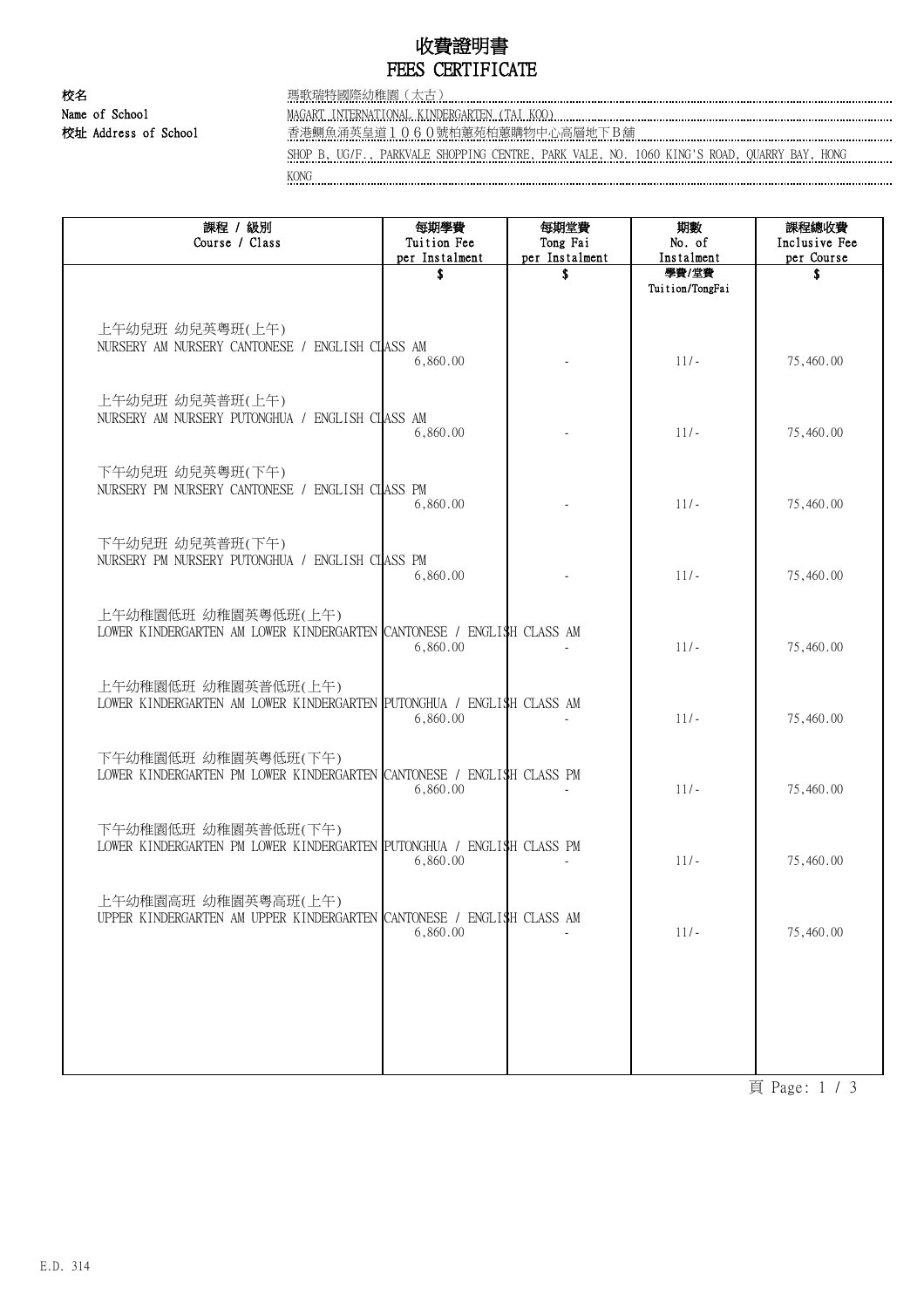## 收費證明書 FEES CERTIFICATE

校名 瑪歌瑞特國際幼稚園(太古) Name of School MAGART INTERNATIONAL KINDERGARTEN (TAI KOO)

校址 Address of School 香港鰂魚涌英皇道1060號柏蕙苑柏蕙購物中心高層地下B舖

SHOP B, UG/F., PARKVALE SHOPPING CENTRE, PARK VALE, NO. 1060 KING'S ROAD, QUARRY BAY, HONG

KONG kalendari kalendari kalendari kalendari kalendari kalendari kalendari kalendari kalendari kalendari kalendari kalendari kalendari kalendari kalendari kalendari kalendari kalendari kalendari kalendari kalendari kalenda

| 課程 / 級別<br>Course / Class                                                                    | 每期學費<br>Tuition Fee<br>per Instalment | 每期堂費<br>Tong Fai<br>per Instalment | 期數<br>No. of<br>Instalment | 課程總收費<br>Inclusive Fee<br>per Course |
|----------------------------------------------------------------------------------------------|---------------------------------------|------------------------------------|----------------------------|--------------------------------------|
|                                                                                              | S                                     | S                                  | 學費/堂費<br>Tuition/TongFai   | S                                    |
| 上午幼兒班 幼兒英粵班(上午)<br>NURSERY AM NURSERY CANTONESE / ENGLISH CLASS AM                           | 6,860.00                              |                                    | $11/-$                     | 75,460.00                            |
| 上午幼兒班 幼兒英普班(上午)<br>NURSERY AM NURSERY PUTONGHUA / ENGLISH CLASS AM                           | 6,860.00                              |                                    | $11/-$                     | 75,460.00                            |
| 下午幼兒班 幼兒英粵班(下午)<br>NURSERY PM NURSERY CANTONESE / ENGLISH CLASS PM                           | 6,860.00                              |                                    | $11/-$                     | 75,460.00                            |
| 下午幼兒班 幼兒英普班(下午)<br>NURSERY PM NURSERY PUTONGHUA / ENGLISH CLASS PM                           | 6,860.00                              |                                    | $11/-$                     | 75,460.00                            |
| 上午幼稚園低班 幼稚園英粤低班(上午)<br>LOWER KINDERGARTEN AM LOWER KINDERGARTEN CANTONESE / ENGLISH CLASS AM | 6,860.00                              |                                    | $11/-$                     | 75,460.00                            |
| 上午幼稚園低班 幼稚園英普低班(上午)<br>LOWER KINDERGARTEN AM LOWER KINDERGARTEN PUTONGHUA / ENGLISH CLASS AM | 6,860.00                              |                                    | $11/-$                     | 75,460.00                            |
| 下午幼稚園低班 幼稚園英粤低班(下午)<br>LOWER KINDERGARTEN PM LOWER KINDERGARTEN CANTONESE / ENGLISH CLASS PM | 6,860.00                              |                                    | $11/-$                     | 75,460.00                            |
| 下午幼稚園低班 幼稚園英普低班(下午)<br>LOWER KINDERGARTEN PM LOWER KINDERGARTEN PUTONGHUA / ENGLISH CLASS PM | 6,860.00                              |                                    | $11/-$                     | 75,460.00                            |
| 上午幼稚園高班 幼稚園英粤高班(上午)<br>UPPER KINDERGARTEN AM UPPER KINDERGARTEN CANTONESE / ENGLISH CLASS AM | 6,860.00                              |                                    | $11/-$                     | 75,460.00                            |
|                                                                                              |                                       |                                    |                            |                                      |
|                                                                                              |                                       |                                    |                            |                                      |

頁 Page: 1 / 3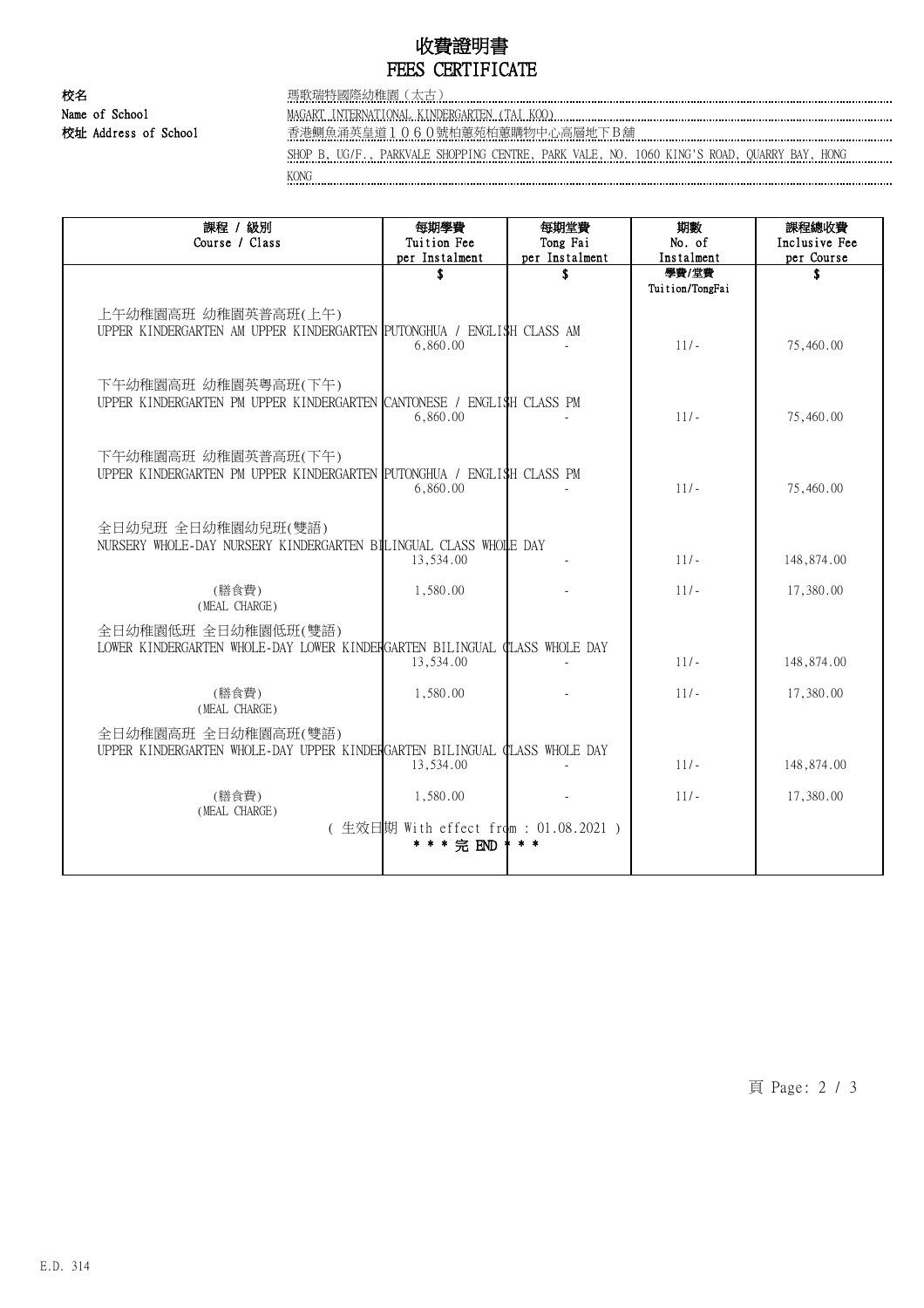## 收費證明書 FEES CERTIFICATE

校名 瑪歌瑞特國際幼稚園(太古) Name of School MAGART INTERNATIONAL KINDERGARTEN (TAI KOO)

校址 Address of School 香港鰂魚涌英皇道1060號柏蕙苑柏蕙購物中心高層地下B舖

SHOP B, UG/F., PARKVALE SHOPPING CENTRE, PARK VALE, NO. 1060 KING'S ROAD, QUARRY BAY, HONG KONG

| 課程 / 級別<br>Course / Class                                                                        | 每期學費<br>Tuition Fee<br>per Instalment                            | 每期堂費<br>Tong Fai<br>per Instalment | 期數<br>No. of<br>Instalment | 課程總收費<br>Inclusive Fee<br>per Course |
|--------------------------------------------------------------------------------------------------|------------------------------------------------------------------|------------------------------------|----------------------------|--------------------------------------|
|                                                                                                  |                                                                  | \$                                 | 學費/堂費<br>Tuition/TongFai   | \$                                   |
| 上午幼稚園高班 幼稚園英普高班(上午)<br>UPPER KINDERGARTEN AM UPPER KINDERGARTEN PUTONGHUA / ENGLI\$H CLASS AM    | 6,860.00                                                         |                                    | $11/-$                     | 75,460.00                            |
| 下午幼稚園高班 幼稚園英粤高班(下午)<br>UPPER KINDERGARTEN PM UPPER KINDERGARTEN CANTONESE / ENGLI\$H CLASS PM    | 6,860.00                                                         |                                    | $11/-$                     | 75,460.00                            |
| 下午幼稚園高班 幼稚園英普高班(下午)<br>UPPER KINDERGARTEN PM UPPER KINDERGARTEN PUTONGHUA / ENGLISH CLASS PM     | 6,860.00                                                         |                                    | $11/-$                     | 75,460.00                            |
| 全日幼兒班 全日幼稚園幼兒班(雙語)<br>NURSERY WHOLE-DAY NURSERY KINDERGARTEN BILINGUAL CLASS WHOLE DAY           | 13,534.00                                                        |                                    | $11/-$                     | 148,874.00                           |
| (膳食費)<br>(MEAL CHARGE)                                                                           | 1,580.00                                                         |                                    | $11/-$                     | 17,380.00                            |
| 全日幼稚園低班 全日幼稚園低班(雙語)<br>LOWER KINDERGARTEN WHOLE-DAY LOWER KINDERGARTEN BILINGUAL CLASS WHOLE DAY | 13,534.00                                                        |                                    | $11/-$                     | 148,874.00                           |
| (膳食費)<br>(MEAL CHARGE)                                                                           | 1,580.00                                                         |                                    | $11/-$                     | 17,380.00                            |
| 全日幼稚園高班 全日幼稚園高班(雙語)<br>UPPER KINDERGARTEN WHOLE-DAY UPPER KINDERGARTEN BILINGUAL CLASS WHOLE DAY | 13,534.00                                                        |                                    | $11/-$                     | 148,874.00                           |
| (膳食費)<br>(MEAL CHARGE)                                                                           | 1,580.00<br>(生效日期 With effect from : 01.08.2021 )<br>* * * 完 END | $* *$                              | $11/-$                     | 17,380.00                            |

頁 Page: 2 / 3